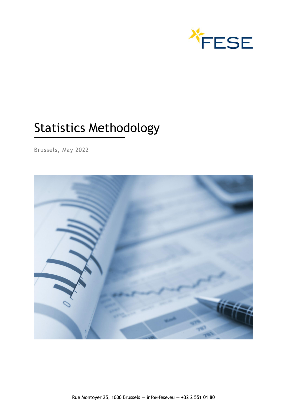

# Statistics Methodology

Brussels, May 2022

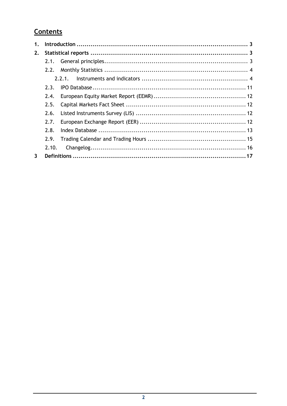# Contents

| 1. |       |       |  |
|----|-------|-------|--|
| 2. |       |       |  |
|    | 2.1.  |       |  |
|    | 2.2.  |       |  |
|    |       | 2.2.1 |  |
|    | 7.3.  |       |  |
|    | 2.4.  |       |  |
|    | 2.5.  |       |  |
|    | 2.6.  |       |  |
|    | 7.7.  |       |  |
|    | 7.8.  |       |  |
|    | 2.9.  |       |  |
|    | 2.10. |       |  |
| 3  |       |       |  |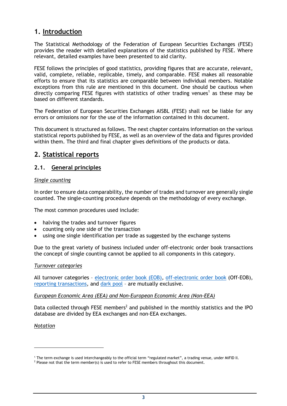# <span id="page-2-0"></span>**1. Introduction**

The Statistical Methodology of the Federation of European Securities Exchanges (FESE) provides the reader with detailed explanations of the statistics published by FESE. Where relevant, detailed examples have been presented to aid clarity.

FESE follows the principles of good statistics, providing figures that are accurate, relevant, valid, complete, reliable, replicable, timely, and comparable. FESE makes all reasonable efforts to ensure that its statistics are comparable between individual members. Notable exceptions from this rule are mentioned in this document. One should be cautious when directly comparing FESE figures with statistics of other trading venues<sup>1</sup> as these may be based on different standards.

The Federation of European Securities Exchanges AISBL (FESE) shall not be liable for any errors or omissions nor for the use of the information contained in this document.

This document is structured as follows. The next chapter contains information on the various statistical reports published by FESE, as well as an overview of the data and figures provided within them. The third and final chapter gives definitions of the products or data.

# <span id="page-2-1"></span>**2. Statistical reports**

## <span id="page-2-2"></span>**2.1. General principles**

## *Single counting*

In order to ensure data comparability, the number of trades and turnover are generally single counted. The single-counting procedure depends on the methodology of every exchange.

The most common procedures used include:

- halving the trades and turnover figures
- counting only one side of the transaction
- using one single identification per trade as suggested by the exchange systems

Due to the great variety of business included under off-electronic order book transactions the concept of single counting cannot be applied to all components in this category.

#### *Turnover categories*

All turnover categories – [electronic order book \(EOB\),](#page-19-0) [off-electronic order book](#page-23-0) (Off-EOB), [reporting transactions,](#page-26-0) and [dark pool](#page-19-1) – are mutually exclusive.

#### *European Economic Area (EEA) and Non-European Economic Area (Non-EEA)*

Data collected through FESE members<sup>2</sup> and published in the monthly statistics and the IPO database are divided by EEA exchanges and non-EEA exchanges.

#### *Notation*

<sup>1</sup> The term exchange is used interchangeably to the official term "regulated market", a trading venue, under MiFID II.

<sup>&</sup>lt;sup>2</sup> Please not that the term member(s) is used to refer to FESE members throughout this document.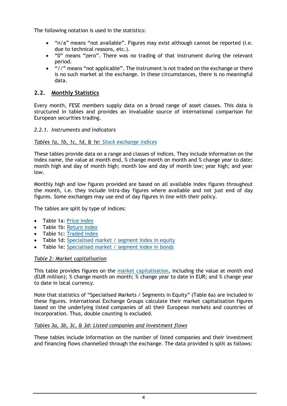The following notation is used in the statistics:

- "n/a" means "not available". Figures may exist although cannot be reported (i.e. due to technical reasons, etc.).
- "0" means "zero". There was no trading of that instrument during the relevant period.
- "//" means "not applicable". The instrument is not traded on the exchange or there is no such market at the exchange. In these circumstances, there is no meaningful data.

## <span id="page-3-0"></span>**2.2. Monthly Statistics**

Every month, FESE members supply data on a broad range of asset classes. This data is structured in tables and provides an invaluable source of international comparison for European securities trading.

## <span id="page-3-1"></span>*2.2.1. Instruments and indicators*

#### *Tables 1a, 1b, 1c, 1d, & 1e: [Stock exchange indices](#page-21-0)*

These tables provide data on a range and classes of indices. They include information on the index name, the value at month end, % change month on month and % change year to date; month high and day of month high; month low and day of month low; year high; and year low.

Monthly high and low figures provided are based on all available index figures throughout the month, i.e. they include intra-day figures where available and not just end of day figures. Some exchanges may use end of day figures in line with their policy.

The tables are split by type of indices:

- Table 1a: [Price index](#page-25-0)
- Table 1b: [Return index](#page-26-1)
- Table 1c: [Traded index](#page-27-0)
- Table 1d: [Specialised market / segment index in equity](#page-27-1)
- Table 1e: [Specialised market / segment index in bonds](#page-27-1)

#### *Table 2: Market capitalisation*

This table provides figures on the [market capitalisation,](#page-22-0) including the value at month end (EUR million); % change month on month; % change year to date in EUR; and % change year to date in local currency.

Note that statistics of "Specialised Markets / Segments in Equity" (Table 6a) are included in these figures. International Exchange Groups calculate their market capitalisation figures based on the underlying listed companies of all their European markets and countries of incorporation. Thus, double counting is excluded.

#### *Tables 3a, 3b, 3c, & 3d: Listed companies and investment flows*

These tables include information on the number of listed companies and their investment and financing flows channelled through the exchange. The data provided is split as follows: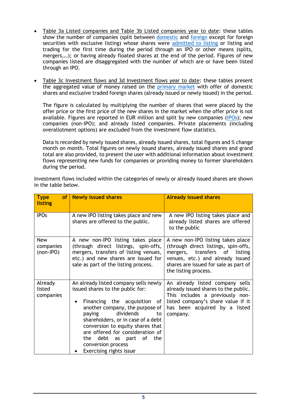- Table 3a Listed companies and Table 3b Listed companies year to date: these tables show the number of companies (split between [domestic](#page-19-2) and [foreign](#page-20-0) except for foreign securities with exclusive listing) whose shares were [admitted to listing](#page-16-1) or listing and trading for the first time during the period through an IPO or other means (splits, mergers,…); or having already floated shares at the end of the period. Figures of new companies listed are disaggregated with the number of which are or have been listed through an IPO.
- Table 3c Investment flows and 3d Investment flows year to date: these tables present the aggregated value of money raised on the [primary market](#page-25-1) with offer of domestic shares and exclusive traded foreign shares (already issued or newly issued) in the period.

The figure is calculated by multiplying the number of shares that were placed by the offer price or the first price of the new shares in the market when the offer price is not available. Figures are reported in EUR million and split by new companies [\(IPOs\)](#page-21-1); new companies (non-IPO); and already listed companies. Private placements (including overallotment options) are excluded from the investment flow statistics.

Data is recorded by newly issued shares, already issued shares, total figures and % change month on month. Total figures on newly issued shares, already issued shares and grand total are also provided, to present the user with additional information about investment flows representing new funds for companies or providing money to former shareholders during the period.

Investment flows included within the categories of newly or already issued shares are shown in the table below.

| <b>Type</b><br><b>of</b><br>listing    | <b>Newly issued shares</b>                                                                                                                                                                                                                                                                                                                                                     | <b>Already issued shares</b>                                                                                                                                                                                          |
|----------------------------------------|--------------------------------------------------------------------------------------------------------------------------------------------------------------------------------------------------------------------------------------------------------------------------------------------------------------------------------------------------------------------------------|-----------------------------------------------------------------------------------------------------------------------------------------------------------------------------------------------------------------------|
| <b>IPOs</b>                            | A new IPO listing takes place and new<br>shares are offered to the public.                                                                                                                                                                                                                                                                                                     | A new IPO listing takes place and<br>already listed shares are offered<br>to the public                                                                                                                               |
| <b>New</b><br>companies<br>$(non-IPO)$ | A new non-IPO listing takes place<br>(through direct listings, spin-offs,<br>mergers, transfers of listing venues,<br>etc.) and new shares are issued for<br>sale as part of the listing process.                                                                                                                                                                              | A new non-IPO listing takes place<br>(through direct listings, spin-offs,<br>mergers, transfers<br>of<br>listing<br>venues, etc.) and already issued<br>shares are issued for sale as part of<br>the listing process. |
| Already<br>listed<br>companies         | An already listed company sells newly<br>issued shares to the public for:<br>Financing the acquisition<br>of<br>٠<br>another company, the purpose of<br>dividends<br>paying<br>to<br>shareholders, or in case of a debt<br>conversion to equity shares that<br>are offered for consideration of<br>debt as part of the<br>the<br>conversion process<br>Exercising rights issue | An already listed company sells<br>already issued shares to the public.<br>This includes a previously non-<br>listed company's share value if it<br>has been acquired by a listed<br>company.                         |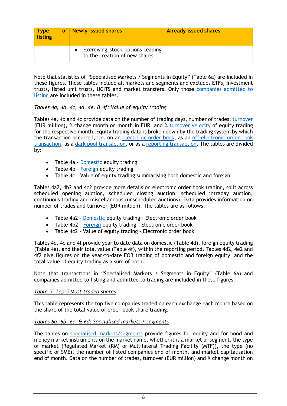| Type<br>  listing | of   Newly issued shares                                          | <b>Already issued shares</b> |
|-------------------|-------------------------------------------------------------------|------------------------------|
|                   | Exercising stock options leading<br>to the creation of new shares |                              |

Note that statistics of "Specialised Markets / Segments in Equity" (Table 6a) are included in these figures. These tables include all markets and segments and excludes ETFs, investment trusts, listed unit trusts, UCITS and market transfers. Only those [companies admitted to](#page-16-1)  [listing](#page-16-1) are included in these tables.

## <span id="page-5-0"></span>*Tables 4a, 4b, 4c, 4d, 4e, & 4f: Value of equity trading*

Tables 4a, 4b and 4c provide data on the number of trading days, number of trades, [turnover](#page-27-2) (EUR million), % change month on month in EUR, and % [turnover velocity](#page-28-0) of equity trading for the respective month. Equity trading data is broken down by the trading system by which the transaction occurred, i.e. on an [electronic order book,](#page-19-0) as an [off-electronic order book](#page-23-0)  [transaction,](#page-23-0) as a dark pool transaction, or as a [reporting transaction.](#page-26-0) The tables are divided by:

- Table 4a [Domestic](#page-25-0) equity trading
- Table 4b [Foreign](#page-20-0) equity trading
- Table 4c Value of equity trading summarising both domestic and foreign

Tables 4a2, 4b2 and 4c2 provide more details on electronic order book trading, split across scheduled opening auction, scheduled closing auction, scheduled intraday auction, continuous trading and miscellaneous (unscheduled auctions). Data provides information on number of trades and turnover (EUR million). The tables are as follows:

- Table 4a2 [Domestic](#page-25-0) equity trading Electronic order book
- Table 4b2 [Foreign](#page-20-0) equity trading Electronic order book
- Table 4c2 Value of equity trading Electronic order book

Tables 4d, 4e and 4f provide year to date data on domestic (Table 4d), foreign equity trading (Table 4e), and their total value (Table 4f), within the reporting period. Tables 4d2, 4e2 and 4f2 give figures on the year-to-date EOB trading of domestic and foreign equity, and the total value of equity trading as a sum of both.

Note that transactions in "Specialised Markets / Segments in Equity" (Table 6a) and companies admitted to listing and admitted to trading are included in these figures.

#### *Table 5: Top 5 Most traded shares*

This table represents the top five companies traded on each exchange each month based on the share of the total value of order-book share trading.

#### *Tables 6a, 6b, 6c, & 6d: Specialised markets / segments*

The tables on [specialised markets/segments](#page-27-3) provide figures for equity and for bond and money market instruments on the market name, whether it is a market or segment, the type of market (Regulated Market (RM) or Multilateral Trading Facility (MTF)), the type (no specific or SME), the number of listed companies end of month, and market capitalisation end of month. Data on the number of trades, turnover (EUR million) and % change month on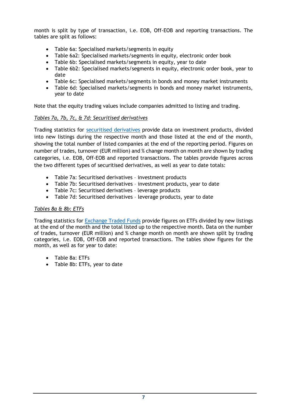month is split by type of transaction, i.e. EOB, Off-EOB and reporting transactions. The tables are split as follows:

- Table 6a: Specialised markets/segments in equity
- Table 6a2: Specialised markets/segments in equity, electronic order book
- Table 6b: Specialised markets/segments in equity, year to date
- Table 6b2: Specialised markets/segments in equity, electronic order book, year to date
- Table 6c: Specialised markets/segments in bonds and money market instruments
- Table 6d: Specialised markets/segments in bonds and money market instruments, year to date

Note that the equity trading values include companies admitted to listing and trading.

## *Tables 7a, 7b, 7c, & 7d: Securitised derivatives*

Trading statistics for [securitised derivatives](#page-26-2) provide data on investment products, divided into new listings during the respective month and those listed at the end of the month, showing the total number of listed companies at the end of the reporting period. Figures on number of trades, turnover (EUR million) and % change month on month are shown by trading categories, i.e. EOB, Off-EOB and reported transactions. The tables provide figures across the two different types of securitised derivatives, as well as year to date totals:

- Table 7a: Securitised derivatives investment products
- Table 7b: Securitised derivatives investment products, year to date
- Table 7c: Securitised derivatives leverage products
- Table 7d: Securitised derivatives leverage products, year to date

## *Tables 8a & 8b: ETFs*

Trading statistics for [Exchange Traded Funds](#page-19-3) provide figures on ETFs divided by new listings at the end of the month and the total listed up to the respective month. Data on the number of trades, turnover (EUR million) and % change month on month are shown split by trading categories, i.e. EOB, Off-EOB and reported transactions. The tables show figures for the month, as well as for year to date:

- Table 8a: ETFs
- Table 8b: ETFs, year to date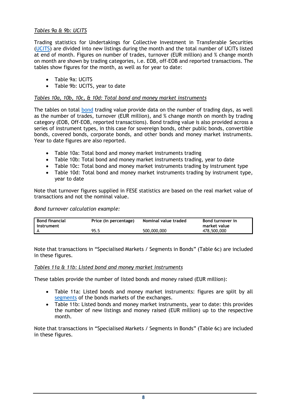## *Tables 9a & 9b: UCITS*

Trading statistics for Undertakings for Collective Investment in Transferable Securities [\(UCITS\)](#page-28-1) are divided into new listings during the month and the total number of UCITs listed at end of month. Figures on number of trades, turnover (EUR million) and % change month on month are shown by trading categories, i.e. EOB, off-EOB and reported transactions. The tables show figures for the month, as well as for year to date:

- Table 9a: UCITS
- Table 9b: UCITS, year to date

#### *Tables 10a, 10b, 10c, & 10d: Total bond and money market instruments*

The tables on total [bond](#page-16-1) trading value provide data on the number of trading days, as well as the number of trades, turnover (EUR million), and % change month on month by trading category (EOB, Off-EOB, reported transactions). Bond trading value is also provided across a series of instrument types, in this case for sovereign bonds, other public bonds, convertible bonds, covered bonds, corporate bonds, and other bonds and money market instruments. Year to date figures are also reported.

- Table 10a: Total bond and money market instruments trading
- Table 10b: Total bond and money market instruments trading, year to date
- Table 10c: Total bond and money market instruments trading by instrument type
- Table 10d: Total bond and money market instruments trading by instrument type, year to date

Note that turnover figures supplied in FESE statistics are based on the real market value of transactions and not the nominal value.

*Bond turnover calculation example:*

| <b>Bond financial</b><br>l instrument | Price (in percentage) | Nominal value traded | <b>Bond turnover in</b><br>market value |
|---------------------------------------|-----------------------|----------------------|-----------------------------------------|
|                                       | 95.5                  | 500,000,000          | 478,500,000                             |

Note that transactions in "Specialised Markets / Segments in Bonds" (Table 6c) are included in these figures.

#### *Tables 11a & 11b: Listed bond and money market instruments*

These tables provide the number of listed bonds and money raised (EUR million):

- Table 11a: Listed bonds and money market instruments: figures are split by all [segments](#page-17-0) of the bonds markets of the exchanges.
- Table 11b: Listed bonds and money market instruments, year to date: this provides the number of new listings and money raised (EUR million) up to the respective month.

Note that transactions in "Specialised Markets / Segments in Bonds" (Table 6c) are included in these figures.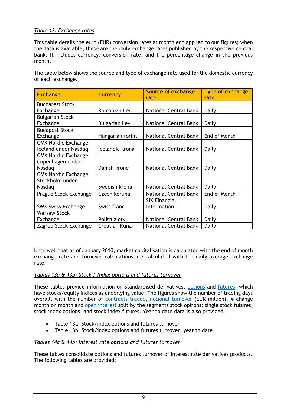## *Table 12: Exchange rates*

This table details the euro (EUR) conversion rates at month end applied to our figures; when the data is available, these are the daily exchange rates published by the respective central bank. It includes currency, conversion rate, and the percentage change in the previous month.

The table below shows the source and type of exchange rate used for the domestic currency of each exchange.

| <b>Exchange</b>            | <b>Currency</b>      | <b>Source of exchange</b><br>rate | <b>Type of exchange</b><br>rate |
|----------------------------|----------------------|-----------------------------------|---------------------------------|
| <b>Bucharest Stock</b>     |                      |                                   |                                 |
| Exchange                   | Romanian Leu         | National Central Bank             | Daily                           |
| <b>Bulgarian Stock</b>     |                      |                                   |                                 |
| Exchange                   | <b>Bulgarian Lev</b> | <b>National Central Bank</b>      | Daily                           |
| <b>Budapest Stock</b>      |                      |                                   |                                 |
| Exchange                   | Hungarian forint     | National Central Bank             | End of Month                    |
| <b>OMX Nordic Exchange</b> |                      |                                   |                                 |
| Iceland under Nasdag       | Icelandic krona      | National Central Bank             | Daily                           |
| <b>OMX Nordic Exchange</b> |                      |                                   |                                 |
| Copenhagen under           |                      |                                   |                                 |
| Nasdag                     | Danish krone         | National Central Bank             | Daily                           |
| <b>OMX Nordic Exchange</b> |                      |                                   |                                 |
| Stockholm under            |                      |                                   |                                 |
| Nasdag                     | Swedish krona        | National Central Bank             | Daily                           |
| Prague Stock Exchange      | Czech koruna         | <b>National Central Bank</b>      | End of Month                    |
|                            |                      | <b>SIX Financial</b>              |                                 |
| <b>SWX Swiss Exchange</b>  | Swiss franc          | Information                       | Daily                           |
| <b>Warsaw Stock</b>        |                      |                                   |                                 |
| Exchange                   | Polish zloty         | National Central Bank             | Daily                           |
| Zagreb Stock Exchange      | Croatian Kuna        | National Central Bank             | Daily                           |

Note well that as of January 2010, market capitalisation is calculated with the end of month exchange rate and turnover calculations are calculated with the daily average exchange rate.

## *Tables 13a & 13b: Stock / Index options and futures turnover*

These tables provide information on standardised derivatives, [options](#page-24-0) and [futures,](#page-20-1) which have stocks/equity indices as underlying value. The figures show the number of trading days overall, with the number of [contracts traded,](#page-18-0) [notional turnover](#page-23-1) (EUR million), % change month on month and [open interest](#page-24-1) split by the segments stock options: single stock futures, stock index options, and stock index futures. Year to date data is also provided.

- Table 13a: Stock/index options and futures turnover
- Table 13b: Stock/index options and futures turnover, year to date

## *Tables 14a & 14b: Interest rate options and futures turnover*

These tables consolidate options and futures turnover of interest rate derivatives products. The following tables are provided: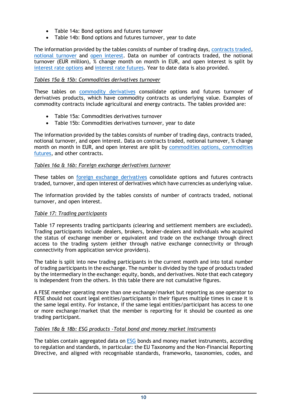- Table 14a: Bond options and futures turnover
- Table 14b: Bond options and futures turnover, year to date

The information provided by the tables consists of number of trading days, [contracts traded,](#page-18-0) [notional turnover](#page-23-1) and [open interest.](#page-24-1) Data on number of contracts traded, the notional turnover (EUR million), % change month on month in EUR, and open interest is split by interest rate options and interest rate futures. Year to date data is also provided.

#### *Tables 15a & 15b: Commodities derivatives turnover*

These tables on [commodity derivatives](#page-18-1) consolidate options and futures turnover of derivatives products, which have commodity contracts as underlying value. Examples of commodity contracts include agricultural and energy contracts. The tables provided are:

- Table 15a: Commodities derivatives turnover
- Table 15b: Commodities derivatives turnover, year to date

The information provided by the tables consists of number of trading days, contracts traded, notional turnover, and open interest. Data on contracts traded, notional turnover, % change month on month in EUR, and open interest are split by [commodities options, commodities](#page-18-1)  [futures,](#page-18-1) and other contracts.

#### *Tables 16a & 16b: Foreign exchange derivatives turnover*

These tables on [foreign exchange derivatives](#page-20-2) consolidate options and futures contracts traded, turnover, and open interest of derivatives which have currencies as underlying value.

The information provided by the tables consists of number of contracts traded, notional turnover, and open interest.

#### *Table 17: Trading participants*

Table 17 represents trading participants (clearing and settlement members are excluded). Trading participants include dealers, brokers, broker-dealers and individuals who acquired the status of exchange member or equivalent and trade on the exchange through direct access to the trading system (either through native exchange connectivity or through connectivity from application service providers).

The table is split into new trading participants in the current month and into total number of trading participants in the exchange. The number is divided by the type of products traded by the intermediary in the exchange: equity, bonds, and derivatives. Note that each category is independent from the others. In this table there are not cumulative figures.

A FESE member operating more than one exchange/market but reporting as one operator to FESE should not count legal entities/participants in their figures multiple times in case it is the same legal entity. For instance, if the same legal entities/participant has access to one or more exchange/market that the member is reporting for it should be counted as one trading participant.

#### *Tables 18a & 18b: ESG products -Total bond and money market instruments*

The tables contain aggregated data on [ESG](#page-19-3) bonds and money market instruments, according to regulation and standards, in particular: the EU Taxonomy and the Non-Financial Reporting Directive, and aligned with recognisable standards, frameworks, taxonomies, codes, and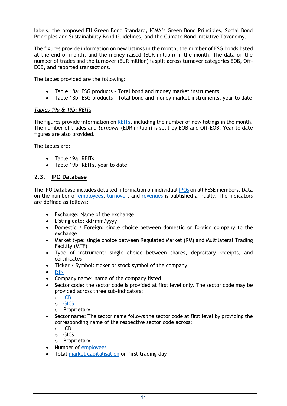labels, the proposed EU Green Bond Standard, ICMA's Green Bond Principles, Social Bond Principles and Sustainability Bond Guidelines, and the Climate Bond Initiative Taxonomy.

The figures provide information on new listings in the month, the number of ESG bonds listed at the end of month, and the money raised (EUR million) in the month. The data on the number of trades and the turnover (EUR million) is split across turnover categories EOB, Off-EOB, and reported transactions.

The tables provided are the following:

- Table 18a: ESG products Total bond and money market instruments
- Table 18b: ESG products Total bond and money market instruments, year to date

#### *Tables 19a & 19b: REITs*

The figures provide information on [REITs,](#page-25-2) including the number of new listings in the month. The number of trades and *turnover* (EUR million) is split by EOB and Off-EOB. Year to date figures are also provided.

The tables are:

- Table 19a: REITs
- Table 19b: REITs, year to date

## <span id="page-10-0"></span>**2.3. IPO Database**

The IPO Database includes detailed information on individual [IPOs](#page-21-1) on all FESE members. Data on the number of [employees,](#page-19-4) [turnover,](#page-27-2) and [revenues](#page-26-3) is published annually. The indicators are defined as follows:

- Exchange: Name of the exchange
- Listing date: dd/mm/yyyy
- Domestic / Foreign: single choice between domestic or foreign company to the exchange
- Market type: single choice between Regulated Market (RM) and Multilateral Trading Facility (MTF)
- Type of instrument: single choice between shares, depositary receipts, and certificates
- Ticker / Symbol: ticker or stock symbol of the company
- [ISIN](#page-22-0)
- Company name: name of the company listed
- Sector code: the sector code is provided at first level only. The sector code may be provided across three sub-indicators:
	- o [ICB](#page-21-1)
	- o [GICS](#page-21-2)
	- o Proprietary
- Sector name: The sector name follows the sector code at first level by providing the corresponding name of the respective sector code across:
	- o ICB
	- o GICS
	- o Proprietary
- Number of [employees](#page-19-4)
- Total [market capitalisation](#page-22-0) on first trading day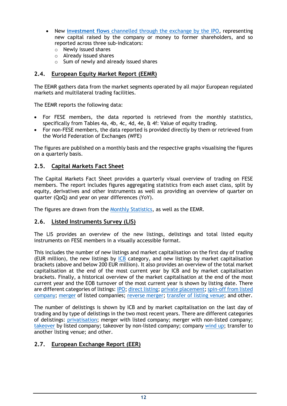- New **investment flows** channelled through the exchange by the IPO, representing new capital raised by the company or money to former shareholders, and so reported across three sub-indicators:
	- o Newly issued shares
	- o Already issued shares
	- o Sum of newly and already issued shares

## <span id="page-11-0"></span>**2.4. European Equity Market Report (EEMR)**

The EEMR gathers data from the market segments operated by all major European regulated markets and multilateral trading facilities.

The EEMR reports the following data:

- For FESE members, the data reported is retrieved from the monthly statistics, specifically from [Tables 4a, 4b, 4c, 4d, 4e, & 4f: Value of equity trading.](#page-5-0)
- For non-FESE members, the data reported is provided directly by them or retrieved from the World Federation of Exchanges (WFE)

The figures are published on a monthly basis and the respective graphs visualising the figures on a quarterly basis.

## <span id="page-11-1"></span>**2.5. Capital Markets Fact Sheet**

The Capital Markets Fact Sheet provides a quarterly visual overview of trading on FESE members. The report includes figures aggregating statistics from each asset class, split by equity, derivatives and other instruments as well as providing an overview of quarter on quarter (QoQ) and year on year differences (YoY).

The figures are drawn from the [Monthly Statistics,](#page-3-0) as well as the EEMR.

## <span id="page-11-2"></span>**2.6. Listed Instruments Survey (LIS)**

The LIS provides an overview of the new listings, delistings and total listed equity instruments on FESE members in a visually accessible format.

This includes the number of new listings and market capitalisation on the first day of trading (EUR million), the new listings by [ICB](#page-21-1) category, and new listings by market capitalisation brackets (above and below 200 EUR million). It also provides an overview of the total market capitalisation at the end of the most current year by ICB and by market capitalisation brackets. Finally, a historical overview of the market capitalisation at the end of the most current year and the EOB turnover of the most current year is shown by listing date. There are different categories of listings: [IPO;](#page-21-1) [direct listing;](#page-19-5) [private placement;](#page-25-3) [spin-off from listed](#page-27-0)  [company;](#page-27-0) [merger](#page-23-2) of listed companies; [reverse merger;](#page-26-4) [transfer of listing venue;](#page-27-2) and other.

The number of delistings is shown by ICB and by market capitalisation on the last day of trading and by type of delistings in the two most recent years. There are different categories of delistings: [privatisation;](#page-25-4) merger with listed company; merger with non-listed company; [takeover](#page-27-4) by listed company; takeover by non-listed company; company [wind](#page-28-2) up; transfer to another listing venue; and other.

## <span id="page-11-3"></span>**2.7. European Exchange Report (EER)**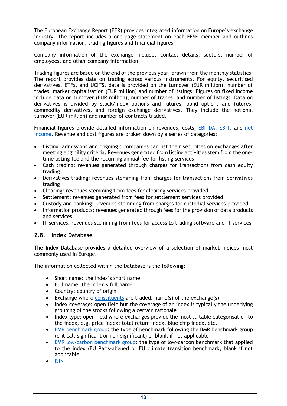The European Exchange Report (EER) provides integrated information on Europe's exchange industry. The report includes a one-page statement on each FESE member and outlines company information, trading figures and financial figures.

Company information of the exchange includes contact details, sectors, number of employees, and other company information.

Trading figures are based on the end of the previous year, drawn from the monthly statistics. The report provides data on trading across various instruments. For equity, securitised derivatives, ETFs, and UCITS, data is provided on the turnover (EUR million), number of trades, market capitalisation (EUR million) and number of listings. Figures on fixed income include data on turnover (EUR million), number of trades, and number of listings. Data on derivatives is divided by stock/index options and futures, bond options and futures, commodity derivatives, and foreign exchange derivatives. They include the notional turnover (EUR million) and number of contracts traded.

Financial figures provide detailed information on revenues, costs, [EBITDA,](#page-19-0) [EBIT,](#page-22-1) and [net](#page-23-0)  [income.](#page-23-0) Revenue and cost figures are broken down by a series of categories:

- Listing (admissions and ongoing): companies can list their securities on exchanges after meeting eligibility criteria. Revenues generated from listing activities stem from the onetime listing fee and the recurring annual fee for listing services
- Cash trading: revenues generated through charges for transactions from cash equity trading
- Derivatives trading: revenues stemming from charges for transactions from derivatives trading
- Clearing: revenues stemming from fees for clearing services provided
- Settlement: revenues generated from fees for settlement services provided
- Custody and banking: revenues stemming from charges for custodial services provided
- Information products: revenues generated through fees for the provision of data products and services
- IT services: revenues stemming from fees for access to trading software and IT services

## <span id="page-12-0"></span>**2.8. Index Database**

The Index Database provides a detailed overview of a selection of market indices most commonly used in Europe.

The information collected within the Database is the following:

- Short name: the index's short name
- Full name: the index's full name
- Country: country of origin
- Exchange where [constituents](#page-21-3) are traded: name(s) of the exchange(s)
- Index coverage: open field but the coverage of an index is typically the underlying grouping of the stocks following a certain rationale
- Index type: open field where exchanges provide the most suitable categorisation to the index, e.g. price index; total return index, blue chip index, etc.
- [BMR benchmark group:](#page-16-2) the type of benchmark following the BMR benchmark group (critical, significant or non-significant) or blank if not applicable
- [BMR low-carbon benchmark group:](#page-17-1) the type of low-carbon benchmark that applied to the index (EU Paris-aligned or EU climate transition benchmark, blank if not applicable
- [ISIN](#page-22-0)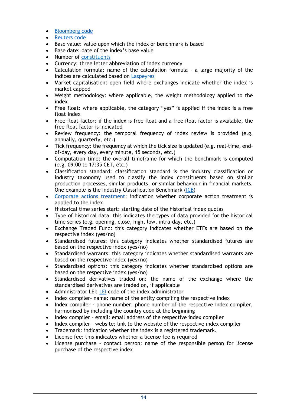- [Bloomberg code](#page-16-3)
- [Reuters code](#page-26-5)
- Base value: value upon which the index or benchmark is based
- Base date: date of the index's base value
- Number of [constituents](#page-21-3)
- Currency: three letter abbreviation of index currency
- Calculation formula: name of the calculation formula a large majority of the indices are calculated based on [Laspeyres](#page-22-1)
- Market capitalisation: open field where exchanges indicate whether the index is market capped
- Weight methodology: where applicable, the weight methodology applied to the index
- Free float: where applicable, the category "yes" is applied if the index is a free float index
- Free float factor: if the index is free float and a free float factor is available, the free float factor is indicated
- Review frequency: the temporal frequency of index review is provided (e.g. annually, quarterly, etc.)
- Tick frequency: the frequency at which the tick size is updated (e.g. real-time, endof-day, every day, every minute, 15 seconds, etc.)
- Computation time: the overall timeframe for which the benchmark is computed (e.g. 09:00 to 17:35 CET, etc.)
- Classification standard: classification standard is the industry classification or industry taxonomy used to classify the index constituents based on similar production processes, similar products, or similar behaviour in financial markets. One example is the Industry Classification Benchmark [\(ICB\)](#page-21-1)
- [Corporate actions treatment:](#page-18-0) indication whether corporate action treatment is applied to the index
- Historical time series start: starting date of the historical index quotas
- Type of historical data: this indicates the types of data provided for the historical time series (e.g. opening, close, high, low, intra-day, etc.)
- Exchange Traded Fund: this category indicates whether ETFs are based on the respective index (yes/no)
- Standardised futures: this category indicates whether standardised futures are based on the respective index (yes/no)
- Standardised warrants: this category indicates whether standardised warrants are based on the respective index (yes/no)
- Standardised options: this category indicates whether standardised options are based on the respective index (yes/no)
- Standardised derivatives traded on: the name of the exchange where the standardised derivatives are traded on, if applicable
- Administrator [LEI](#page-22-2): LEI code of the index administrator
- Index compiler- name: name of the entity compiling the respective index
- Index compiler phone number: phone number of the respective index compiler, harmonised by including the country code at the beginning
- Index compiler email: email address of the respective index compiler
- Index compiler website: link to the website of the respective index compiler
- Trademark: indication whether the index is a registered trademark.
- License fee: this indicates whether a license fee is required
- License purchase contact person: name of the responsible person for license purchase of the respective index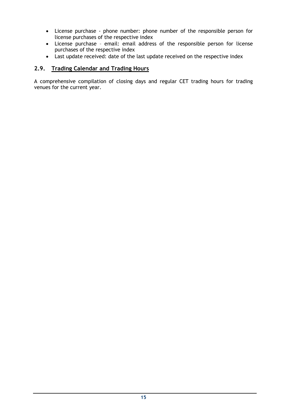- License purchase phone number: phone number of the responsible person for license purchases of the respective index
- License purchase email: email address of the responsible person for license purchases of the respective index
- Last update received: date of the last update received on the respective index

## <span id="page-14-0"></span>**2.9. Trading Calendar and Trading Hours**

<span id="page-14-1"></span>A comprehensive compilation of closing days and regular CET trading hours for trading venues for the current year.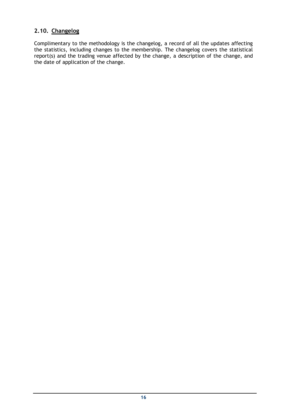## **2.10. Changelog**

Complimentary to the methodology is the changelog, a record of all the updates affecting the statistics, including changes to the membership. The changelog covers the statistical report(s) and the trading venue affected by the change, a description of the change, and the date of application of the change.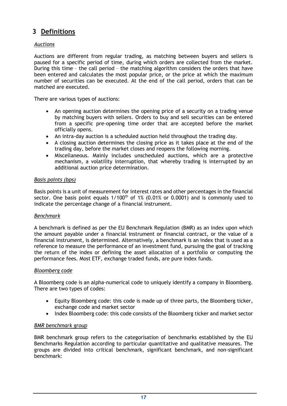# <span id="page-16-0"></span>**3 Definitions**

## <span id="page-16-1"></span>*Auctions*

Auctions are different from regular trading, as matching between buyers and sellers is paused for a specific period of time, during which orders are collected from the market. During this time – the call period – the matching algorithm considers the orders that have been entered and calculates the most popular price, or the price at which the maximum number of securities can be executed. At the end of the call period, orders that can be matched are executed.

There are various types of auctions:

- An opening auction determines the opening price of a security on a trading venue by matching buyers with sellers. Orders to buy and sell securities can be entered from a specific pre-opening time order that are accepted before the market officially opens.
- An intra-day auction is a scheduled auction held throughout the trading day.
- A closing auction determines the closing price as it takes place at the end of the trading day, before the market closes and reopens the following morning.
- Miscellaneous. Mainly includes unscheduled auctions, which are a protective mechanism, a volatility interruption, that whereby trading is interrupted by an additional auction price determination.

## *Basis points (bps)*

Basis points is a unit of measurement for interest rates and other percentages in the financial sector. One basis point equals  $1/100<sup>th</sup>$  of 1% (0.01% or 0.0001) and is commonly used to indicate the percentage change of a financial instrument.

#### *Benchmark*

A benchmark is defined as per the EU Benchmark Regulation (BMR) as an index upon which the amount payable under a financial instrument or financial contract, or the value of a financial instrument, is determined. Alternatively, a benchmark is an index that is used as a reference to measure the performance of an investment fund, pursuing the goal of tracking the return of the index or defining the asset allocation of a portfolio or computing the performance fees. Most ETF, exchange traded funds, are pure index funds.

#### <span id="page-16-3"></span>*Bloomberg code*

A Bloomberg code is an alpha-numerical code to uniquely identify a company in Bloomberg. There are two types of codes:

- Equity Bloomberg code: this code is made up of three parts, the Bloomberg ticker, exchange code and market sector
- Index Bloomberg code: this code consists of the Bloomberg ticker and market sector

## <span id="page-16-2"></span>*BMR benchmark group*

BMR benchmark group refers to the categorisation of benchmarks established by the EU Benchmarks Regulation according to particular quantitative and qualitative measures. The groups are divided into critical benchmark, significant benchmark, and non-significant benchmark: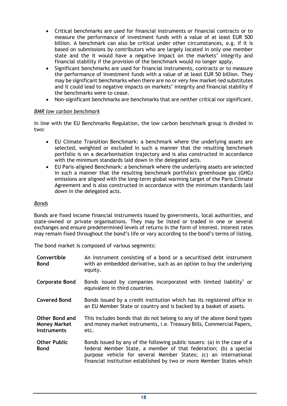- Critical benchmarks are used for financial instruments or financial contracts or to measure the performance of investment funds with a value of at least EUR 500 billion. A benchmark can also be critical under other circumstances, e.g. if it is based on submissions by contributors who are largely located in only one member state and the it would have a negative impact on the markets' integrity and financial stability if the provision of the benchmark would no longer apply.
- Significant benchmarks are used for financial instruments, contracts or to measure the performance of investment funds with a value of at least EUR 50 billion. They may be significant benchmarks when there are no or very few market-led substitutes and it could lead to negative impacts on markets' integrity and financial stability if the benchmarks were to cease.
- Non-significant benchmarks are benchmarks that are neither critical nor significant.

## <span id="page-17-1"></span>*BMR low carbon benchmark*

In line with the EU Benchmarks Regulation, the low carbon benchmark group is divided in two:

- EU Climate Transition Benchmark: a benchmark where the underlying assets are selected, weighted or excluded in such a manner that the resulting benchmark portfolio is on a decarbonisation trajectory and is also constructed in accordance with the minimum standards laid down in the delegated acts.
- EU Paris-aligned Benchmark: a benchmark where the underlying assets are selected in such a manner that the resulting benchmark portfolio's greenhouse gas (GHG) emissions are aligned with the long-term global warming target of the Paris Climate Agreement and is also constructed in accordance with the minimum standards laid down in the delegated acts.

#### *Bonds*

Bonds are fixed income financial instruments issued by governments, local authorities, and state-owned or private organisations. They may be listed or traded in one or several exchanges and ensure predetermined levels of returns in the form of interest. Interest rates may remain fixed throughout the bond's life or vary according to the bond's terms of listing.

The bond market is composed of various segments:

<span id="page-17-0"></span>

| Convertible<br><b>Bond</b>                                         | An instrument consisting of a bond or a securitised debt instrument<br>with an embedded derivative, such as an option to buy the underlying<br>equity.                                                                                                                                   |
|--------------------------------------------------------------------|------------------------------------------------------------------------------------------------------------------------------------------------------------------------------------------------------------------------------------------------------------------------------------------|
| <b>Corporate Bond</b>                                              | Bonds issued by companies incorporated with limited liability <sup>1</sup> or<br>equivalent in third countries.                                                                                                                                                                          |
| <b>Covered Bond</b>                                                | Bonds issued by a credit institution which has its registered office in<br>an EU Member State or country and is backed by a basket of assets.                                                                                                                                            |
| <b>Other Bond and</b><br><b>Money Market</b><br><b>Instruments</b> | This includes bonds that do not belong to any of the above bond types<br>and money market instruments, i.e. Treasury Bills, Commercial Papers,<br>etc.                                                                                                                                   |
| <b>Other Public</b><br><b>Bond</b>                                 | Bonds issued by any of the following public issuers: (a) in the case of a<br>federal Member State, a member of that federation; (b) a special<br>purpose vehicle for several Member States; (c) an international<br>financial institution established by two or more Member States which |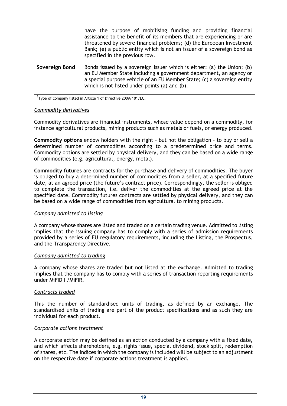have the purpose of mobilising funding and providing financial assistance to the benefit of its members that are experiencing or are threatened by severe financial problems; (d) the European Investment Bank; (e) a public entity which is not an issuer of a sovereign bond as specified in the previous row.

**Sovereign Bond** Bonds issued by a sovereign issuer which is either: (a) the Union; (b) an EU Member State including a government department, an agency or a special purpose vehicle of an EU Member State; (c) a sovereign entity which is not listed under points (a) and (b).

<sup>1</sup>Type of company listed in Article 1 of Directive 2009/101/EC.

#### <span id="page-18-1"></span>*Commodity derivatives*

Commodity derivatives are financial instruments, whose value depend on a commodity, for instance agricultural products, mining products such as metals or fuels, or energy produced.

**Commodity options** endow holders with the right – but not the obligation – to buy or sell a determined number of commodities according to a predetermined price and terms. Commodity options are settled by physical delivery, and they can be based on a wide range of commodities (e.g. agricultural, energy, metal).

**Commodity futures** are contracts for the purchase and delivery of commodities. The buyer is obliged to buy a determined number of commodities from a seller, at a specified future date, at an agreed price (the future's contract price). Correspondingly, the seller is obliged to complete the transaction, i.e. deliver the commodities at the agreed price at the specified date. Commodity futures contracts are settled by physical delivery, and they can be based on a wide range of commodities from agricultural to mining products.

#### *Company admitted to listing*

A company whose shares are listed and traded on a certain trading venue. Admitted to listing implies that the issuing company has to comply with a series of admission requirements provided by a series of EU regulatory requirements, including the Listing, the Prospectus, and the Transparency Directive.

#### *Company admitted to trading*

A company whose shares are traded but not listed at the exchange. Admitted to trading implies that the company has to comply with a series of transaction reporting requirements under MiFID II/MiFIR.

#### <span id="page-18-0"></span>*Contracts traded*

This the number of standardised units of trading, as defined by an exchange. The standardised units of trading are part of the product specifications and as such they are individual for each product.

#### *Corporate actions treatment*

A corporate action may be defined as an action conducted by a company with a fixed date, and which affects shareholders, e.g. rights issue, special dividend, stock split, redemption of shares, etc. The indices in which the company is included will be subject to an adjustment on the respective date if corporate actions treatment is applied.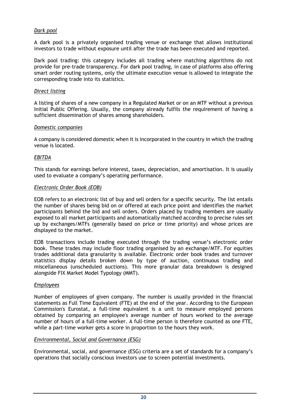## <span id="page-19-1"></span>*Dark pool*

A dark pool is a privately organised trading venue or exchange that allows institutional investors to trade without exposure until after the trade has been executed and reported.

Dark pool trading: this category includes all trading where matching algorithms do not provide for pre-trade transparency. For dark pool trading, in case of platforms also offering smart order routing systems, only the ultimate execution venue is allowed to integrate the corresponding trade into its statistics.

#### <span id="page-19-5"></span>*Direct listing*

A listing of shares of a new company in a Regulated Market or on an MTF without a previous Initial Public Offering. Usually, the company already fulfils the requirement of having a sufficient dissemination of shares among shareholders.

#### <span id="page-19-2"></span>*Domestic companies*

A company is considered domestic when it is incorporated in the country in which the trading venue is located.

#### <span id="page-19-0"></span>*EBITDA*

This stands for earnings before interest, taxes, depreciation, and amortisation. It is usually used to evaluate a company's operating performance.

#### *Electronic Order Book (EOB)*

EOB refers to an electronic list of buy and sell orders for a specific security. The list entails the number of shares being bid on or offered at each price point and identifies the market participants behind the bid and sell orders. Orders placed by trading members are usually exposed to all market participants and automatically matched according to precise rules set up by exchanges/MTFs (generally based on price or time priority) and whose prices are displayed to the market.

EOB transactions include trading executed through the trading venue's electronic order book. These trades may include floor trading organised by an exchange/MTF. For equities trades additional data granularity is available. Electronic order book trades and turnover statistics display details broken down by type of auction, continuous trading and miscellaneous (unscheduled auctions). This more granular data breakdown is designed alongside FIX Market Model Typology (MMT).

#### <span id="page-19-4"></span>*Employees*

Number of employees of given company. The number is usually provided in the financial statements as Full Time Equivalent (FTE) at the end of the year. According to the European Commission's Eurostat, a full-time equivalent is a unit to measure employed persons obtained by comparing an employee's average number of hours worked to the average number of hours of a full-time worker. A full-time person is therefore counted as one FTE, while a part-time worker gets a score in proportion to the hours they work.

#### <span id="page-19-3"></span>*Environmental, Social and Governance (ESG)*

Environmental, social, and governance (ESG) criteria are a set of standards for a company's operations that socially conscious investors use to screen potential investments.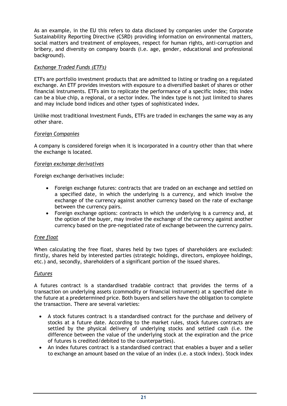As an example, in the EU this refers to data disclosed by companies under the Corporate Sustainability Reporting Directive (CSRD) providing information on environmental matters, social matters and treatment of employees, respect for human rights, anti-corruption and bribery, and diversity on company boards (i.e. age, gender, educational and professional background).

## *Exchange Traded Funds (ETFs)*

ETFs are portfolio investment products that are admitted to listing or trading on a regulated exchange. An ETF provides investors with exposure to a diversified basket of shares or other financial instruments. ETFs aim to replicate the performance of a specific index; this index can be a blue chip, a regional, or a sector index. The index type is not just limited to shares and may include bond indices and other types of sophisticated index.

<span id="page-20-0"></span>Unlike most traditional Investment Funds, ETFs are traded in exchanges the same way as any other share.

## *Foreign Companies*

A company is considered foreign when it is incorporated in a country other than that where the exchange is located.

## <span id="page-20-2"></span>*Foreign exchange derivatives*

Foreign exchange derivatives include:

- Foreign exchange futures: contracts that are traded on an exchange and settled on a specified date, in which the underlying is a currency, and which involve the exchange of the currency against another currency based on the rate of exchange between the currency pairs.
- Foreign exchange options: contracts in which the underlying is a currency and, at the option of the buyer, may involve the exchange of the currency against another currency based on the pre-negotiated rate of exchange between the currency pairs.

## *Free float*

When calculating the free float, shares held by two types of shareholders are excluded: firstly, shares held by interested parties (strategic holdings, directors, employee holdings, etc.) and, secondly, shareholders of a significant portion of the issued shares.

#### <span id="page-20-1"></span>*Futures*

A futures contract is a standardised tradable contract that provides the terms of a transaction on underlying assets (commodity or financial instrument) at a specified date in the future at a predetermined price. Both buyers and sellers have the obligation to complete the transaction. There are several varieties:

- A stock futures contract is a standardised contract for the purchase and delivery of stocks at a future date. According to the market rules, stock futures contracts are settled by the physical delivery of underlying stocks and settled cash (i.e. the difference between the value of the underlying stock at the expiration and the price of futures is credited/debited to the counterparties).
- An index futures contract is a standardised contract that enables a buyer and a seller to exchange an amount based on the value of an index (i.e. a stock index). Stock index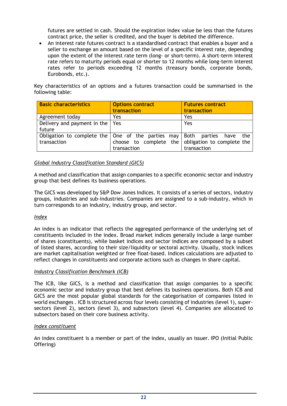futures are settled in cash. Should the expiration index value be less than the futures contract price, the seller is credited, and the buyer is debited the difference.

• An interest rate futures contract is a standardised contract that enables a buyer and a seller to exchange an amount based on the level of a specific interest rate, depending upon the extent of the interest rate term (long- or short-term). A short-term interest rate refers to maturity periods equal or shorter to 12 months while long-term interest rates refer to periods exceeding 12 months (treasury bonds, corporate bonds, Eurobonds, etc.).

Key characteristics of an options and a futures transaction could be summarised in the following table:

| <b>Basic characteristics</b>                                       | <b>Options contract</b> | <b>Futures contract</b>                           |  |
|--------------------------------------------------------------------|-------------------------|---------------------------------------------------|--|
|                                                                    | transaction             | transaction                                       |  |
| Agreement today                                                    | Yes                     | Yes                                               |  |
| Delivery and payment in the $  \cdot  $                            | Yes                     | Yes                                               |  |
| future                                                             |                         |                                                   |  |
| Obligation to complete the   One of the parties may   Both parties |                         | the<br>have                                       |  |
| transaction                                                        |                         | choose to complete the obligation to complete the |  |
|                                                                    | transaction             | transaction                                       |  |

## <span id="page-21-2"></span>*Global Industry Classification Standard (GICS)*

A method and classification that assign companies to a specific economic sector and industry group that best defines its business operations.

The GICS was developed by S&P Dow Jones Indices. It consists of a series of sectors, industry groups, industries and sub-industries. Companies are assigned to a sub-industry, which in turn corresponds to an industry, industry group, and sector.

#### <span id="page-21-0"></span>*Index*

An index is an indicator that reflects the aggregated performance of the underlying set of constituents included in the index. Broad market indices generally include a large number of shares (constituents), while basket indices and sector indices are composed by a subset of listed shares, according to their size/liquidity or sectoral activity. Usually, stock indices are market capitalisation weighted or free float-based. Indices calculations are adjusted to reflect changes in constituents and corporate actions such as changes in share capital.

#### <span id="page-21-1"></span>*Industry Classification Benchmark (ICB)*

The ICB, like GICS, is a method and classification that assign companies to a specific economic sector and industry group that best defines its business operations. Both ICB and GICS are the most popular global standards for the categorisation of companies listed in world exchanges . ICB is structured across four levels consisting of industries (level 1), supersectors (level 2), sectors (level 3), and subsectors (level 4). Companies are allocated to subsectors based on their core business activity.

#### <span id="page-21-3"></span>*Index constituent*

An index constituent is a member or part of the index, usually an issuer. IPO (Initial Public Offering)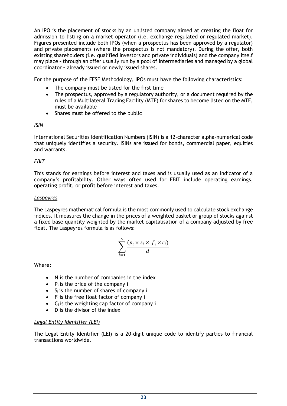An IPO is the placement of stocks by an unlisted company aimed at creating the float for admission to listing on a market operator (i.e. exchange regulated or regulated market). Figures presented include both IPOs (when a prospectus has been approved by a regulator) and private placements (where the prospectus is not mandatory). During the offer, both existing shareholders (i.e. qualified investors and private individuals) and the company itself may place *–* through an offer usually run by a pool of intermediaries and managed by a global coordinator *–* already issued or newly issued shares.

For the purpose of the FESE Methodology, IPOs must have the following characteristics:

- The company must be listed for the first time
- The prospectus, approved by a regulatory authority, or a document required by the rules of a Multilateral Trading Facility (MTF) for shares to become listed on the MTF, must be available
- Shares must be offered to the public

## <span id="page-22-0"></span>*ISIN*

International Securities Identification Numbers (ISIN) is a 12-character alpha-numerical code that uniquely identifies a security. ISINs are issued for bonds, commercial paper, equities and warrants.

## <span id="page-22-1"></span>*EBIT*

This stands for earnings before interest and taxes and is usually used as an indicator of a company's profitability. Other ways often used for EBIT include operating earnings, operating profit, or profit before interest and taxes.

## *Laspeyres*

The Laspeyres mathematical formula is the most commonly used to calculate stock exchange indices. It measures the change in the prices of a weighted basket or group of stocks against a fixed base quantity weighted by the market capitalisation of a company adjusted by free float. The Laspeyres formula is as follows:

$$
\sum_{i=1}^{N} \frac{(p_i \times s_i \times f_i \times c_i)}{d}
$$

<span id="page-22-2"></span>Where:

- N is the number of companies in the index
- $\bullet$  P<sub>i</sub> is the price of the company i
- $\bullet$  S<sub>i</sub> is the number of shares of company i
- $\bullet$  F<sub>i</sub> is the free float factor of company i
- $\bullet$  C<sub>i</sub> is the weighting cap factor of company i
- D is the divisor of the index

## *Legal Entity Identifier (LEI)*

The Legal Entity Identifier (LEI) is a 20-digit unique code to identify parties to financial transactions worldwide.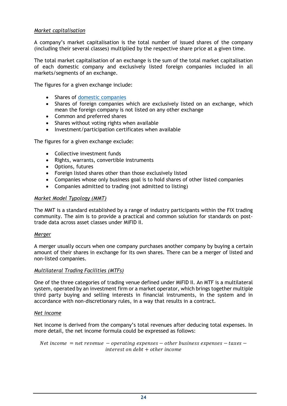## *Market capitalisation*

A company's market capitalisation is the total number of issued shares of the company (including their several classes) multiplied by the respective share price at a given time.

The total market capitalisation of an exchange is the sum of the total market capitalisation of each domestic company and exclusively listed foreign companies included in all markets/segments of an exchange.

The figures for a given exchange include:

- Shares of [domestic companies](#page-19-2)
- Shares of foreign companies which are exclusively listed on an exchange, which mean the foreign company is not listed on any other exchange
- Common and preferred shares
- Shares without voting rights when available
- Investment/participation certificates when available

The figures for a given exchange exclude:

- Collective investment funds
- Rights, warrants, convertible instruments
- Options, futures
- Foreign listed shares other than those exclusively listed
- Companies whose only business goal is to hold shares of other listed companies
- Companies admitted to trading (not admitted to listing)

#### *Market Model Typology (MMT)*

The MMT is a standard established by a range of industry participants within the FIX trading community. The aim is to provide a practical and common solution for standards on posttrade data across asset classes under MiFID II.

#### <span id="page-23-2"></span>*Merger*

A merger usually occurs when one company purchases another company by buying a certain amount of their shares in exchange for its own shares. There can be a merger of listed and non-listed companies.

#### *Multilateral Trading Facilities (MTFs)*

One of the three categories of trading venue defined under MiFID II. An MTF is a multilateral system, operated by an investment firm or a market operator, which brings together multiple third party buying and selling interests in financial instruments, in the system and in accordance with non-discretionary rules, in a way that results in a contract.

#### <span id="page-23-0"></span>*Net income*

Net income is derived from the company's total revenues after deducing total expenses. In more detail, the net income formula could be expressed as follows:

<span id="page-23-1"></span>Net income  $=$  net revenue  $-$  operating expenses  $-$  other business expenses  $-$  taxes  $$  $interest$  on debt  $+$  other income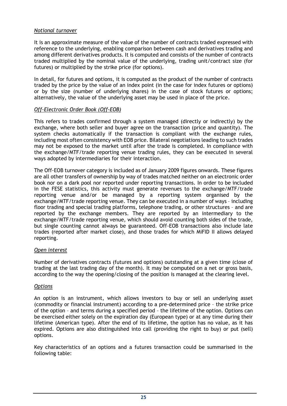## *Notional turnover*

It is an approximate measure of the value of the number of contracts traded expressed with reference to the underlying, enabling comparison between cash and derivatives trading and among different derivatives products. It is computed and consists of the number of contracts traded multiplied by the nominal value of the underlying, trading unit/contract size (for futures) or multiplied by the strike price (for options).

In detail, for futures and options, it is computed as the product of the number of contracts traded by the price by the value of an index point (in the case for index futures or options) or by the size (number of underlying shares) in the case of stock futures or options; alternatively, the value of the underlying asset may be used in place of the price.

## *Off-Electronic Order Book (Off-EOB)*

This refers to trades confirmed through a system managed (directly or indirectly) by the exchange, where both seller and buyer agree on the transaction (price and quantity). The system checks automatically if the transaction is compliant with the exchange rules, including most often consistency with EOB price. Bilateral negotiations leading to such trades may not be exposed to the market until after the trade is completed. In compliance with the exchange/MTF/trade reporting venue trading rules, they can be executed in several ways adopted by intermediaries for their interaction.

The Off-EOB turnover category is included as of January 2009 figures onwards. These figures are all other transfers of ownership by way of trades matched neither on an electronic order book nor on a dark pool nor reported under reporting transactions. In order to be included in the FESE statistics, this activity must generate revenues to the exchange/MTF/trade reporting venue and/or be managed by a reporting system organised by the exchange/MTF/trade reporting venue. They can be executed in a number of ways – including floor trading and special trading platforms, telephone trading, or other structures – and are reported by the exchange members. They are reported by an intermediary to the exchange/MTF/trade reporting venue, which should avoid counting both sides of the trade, but single counting cannot always be guaranteed. Off-EOB transactions also include late trades (reported after market close), and those trades for which MiFID II allows delayed reporting.

#### <span id="page-24-1"></span>*Open interest*

Number of derivatives contracts (futures and options) outstanding at a given time (close of trading at the last trading day of the month). It may be computed on a net or gross basis, according to the way the opening/closing of the position is managed at the clearing level.

#### <span id="page-24-0"></span>*Options*

An option is an instrument, which allows investors to buy or sell an underlying asset (commodity or financial instrument) according to a pre-determined price – the strike price of the option – and terms during a specified period – the lifetime of the option. Options can be exercised either solely on the expiration day (European type) or at any time during their lifetime (American type). After the end of its lifetime, the option has no value, as it has expired. Options are also distinguished into call (providing the right to buy) or put (sell) options.

Key characteristics of an options and a futures transaction could be summarised in the following table: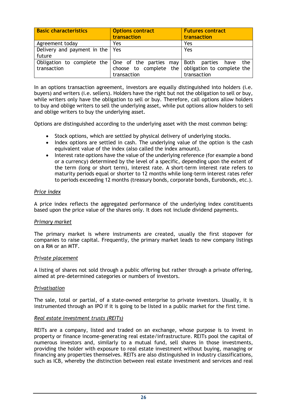| <b>Basic characteristics</b>                                                                  | <b>Options contract</b><br>transaction                           | <b>Futures contract</b><br>transaction |  |
|-----------------------------------------------------------------------------------------------|------------------------------------------------------------------|----------------------------------------|--|
| Agreement today                                                                               | Yes                                                              | Yes                                    |  |
| Delivery and payment in the   Yes<br>future                                                   |                                                                  | Yes                                    |  |
| Obligation to complete the $\vert$ One of the parties may $\vert$ Both parties<br>transaction | choose to complete the obligation to complete the<br>transaction | the<br>have<br>transaction             |  |

In an options transaction agreement, investors are equally distinguished into holders (i.e. buyers) and writers (i.e. sellers). Holders have the right but not the obligation to sell or buy, while writers only have the obligation to sell or buy. Therefore, call options allow holders to buy and oblige writers to sell the underlying asset, while put options allow holders to sell and oblige writers to buy the underlying asset.

Options are distinguished according to the underlying asset with the most common being:

- Stock options, which are settled by physical delivery of underlying stocks.
- Index options are settled in cash. The underlying value of the option is the cash equivalent value of the index (also called the index amount).
- Interest rate options have the value of the underlying reference (for example a bond or a currency) determined by the level of a specific, depending upon the extent of the term (long or short term), interest rate. A short-term interest rate refers to maturity periods equal or shorter to 12 months while long-term interest rates refer to periods exceeding 12 months (treasury bonds, corporate bonds, Eurobonds, etc.).

## <span id="page-25-0"></span>*Price index*

A price index reflects the aggregated performance of the underlying index constituents based upon the price value of the shares only. It does not include dividend payments.

#### <span id="page-25-1"></span>*Primary market*

The primary market is where instruments are created, usually the first stopover for companies to raise capital. Frequently, the primary market leads to new company listings on a RM or an MTF.

#### <span id="page-25-3"></span>*Private placement*

A listing of shares not sold through a public offering but rather through a private offering, aimed at pre-determined categories or numbers of investors.

#### <span id="page-25-4"></span>*Privatisation*

The sale, total or partial, of a state-owned enterprise to private investors. Usually, it is instrumented through an IPO if it is going to be listed in a public market for the first time.

#### <span id="page-25-2"></span>*Real estate investment trusts (REITs)*

REITs are a company, listed and traded on an exchange, whose purpose is to invest in property or finance income-generating real estate/infrastructure. REITs pool the capital of numerous investors and, similarly to a mutual fund, sell shares in those investments, providing the holder with exposure to real estate investment without buying, managing or financing any properties themselves. REITs are also distinguished in industry classifications, such as ICB, whereby the distinction between real estate investment and services and real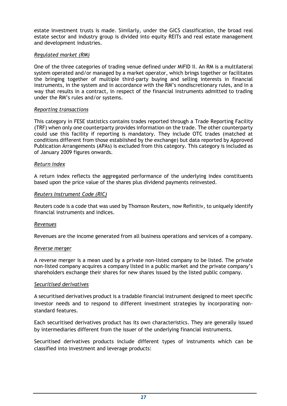estate investment trusts is made. Similarly, under the GICS classification, the broad real estate sector and industry group is divided into equity REITs and real estate management and development industries.

#### *Regulated market (RM)*

One of the three categories of trading venue defined under MiFID II. An RM is a multilateral system operated and/or managed by a market operator, which brings together or facilitates the bringing together of multiple third-party buying and selling interests in financial instruments, in the system and in accordance with the RM's nondiscretionary rules, and in a way that results in a contract, in respect of the financial instruments admitted to trading under the RM's rules and/or systems.

#### <span id="page-26-0"></span>*Reporting transactions*

This category in FESE statistics contains trades reported through a Trade Reporting Facility (TRF) when only one counterparty provides information on the trade. The other counterparty could use this facility if reporting is mandatory. They include OTC trades (matched at conditions different from those established by the exchange) but data reported by Approved Publication Arrangements (APAs) is excluded from this category. This category is included as of January 2009 figures onwards.

## <span id="page-26-1"></span>*Return index*

A return index reflects the aggregated performance of the underlying index constituents based upon the price value of the shares plus dividend payments reinvested.

#### <span id="page-26-5"></span>*Reuters Instrument Code (RIC)*

Reuters code is a code that was used by Thomson Reuters, now Refinitiv, to uniquely identify financial instruments and indices.

#### <span id="page-26-3"></span>*Revenues*

Revenues are the income generated from all business operations and services of a company.

#### <span id="page-26-4"></span>*Reverse merger*

<span id="page-26-2"></span>A reverse merger is a mean used by a private non-listed company to be listed. The private non-listed company acquires a company listed in a public market and the private company's shareholders exchange their shares for new shares issued by the listed public company.

#### *Securitised derivatives*

A securitised derivatives product is a tradable financial instrument designed to meet specific investor needs and to respond to different investment strategies by incorporating nonstandard features.

Each securitised derivatives product has its own characteristics. They are generally issued by intermediaries different from the issuer of the underlying financial instruments.

Securitised derivatives products include different types of instruments which can be classified into investment and leverage products: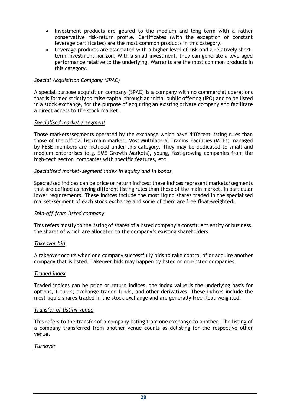- Investment products are geared to the medium and long term with a rather conservative risk-return profile. Certificates (with the exception of constant leverage certificates) are the most common products in this category.
- Leverage products are associated with a higher level of risk and a relatively shortterm investment horizon. With a small investment, they can generate a leveraged performance relative to the underlying. Warrants are the most common products in this category.

#### *Special Acquisition Company (SPAC)*

A special purpose acquisition company (SPAC) is a company with no commercial operations that is formed strictly to raise capital through an initial public offering (IPO) and to be listed in a stock exchange, for the purpose of acquiring an existing private company and facilitate a direct access to the stock market.

#### <span id="page-27-3"></span>*Specialised market / segment*

Those markets/segments operated by the exchange which have different listing rules than those of the official list/main market. Most Multilateral Trading Facilities (MTFs) managed by FESE members are included under this category. They may be dedicated to small and medium enterprises (e.g. SME Growth Markets), young, fast-growing companies from the high-tech sector, companies with specific features, etc.

#### <span id="page-27-1"></span>*Specialised market/segment index in equity and in bonds*

Specialised indices can be price or return indices: these indices represent markets/segments that are defined as having different listing rules than those of the main market, in particular lower requirements. These indices include the most liquid shares traded in the specialised market/segment of each stock exchange and some of them are free float-weighted.

#### <span id="page-27-0"></span>*Spin-off from listed company*

<span id="page-27-4"></span>This refers mostly to the listing of shares of a listed company's constituent entity or business, the shares of which are allocated to the company's existing shareholders.

#### *Takeover bid*

A takeover occurs when one company successfully bids to take control of or acquire another company that is listed. Takeover bids may happen by listed or non-listed companies.

#### *Traded index*

Traded indices can be price or return indices; the index value is the underlying basis for options, futures, exchange traded funds, and other derivatives. These indices include the most liquid shares traded in the stock exchange and are generally free float-weighted.

#### <span id="page-27-2"></span>*Transfer of listing venue*

This refers to the transfer of a company listing from one exchange to another. The listing of a company transferred from another venue counts as delisting for the respective other venue.

#### *Turnover*